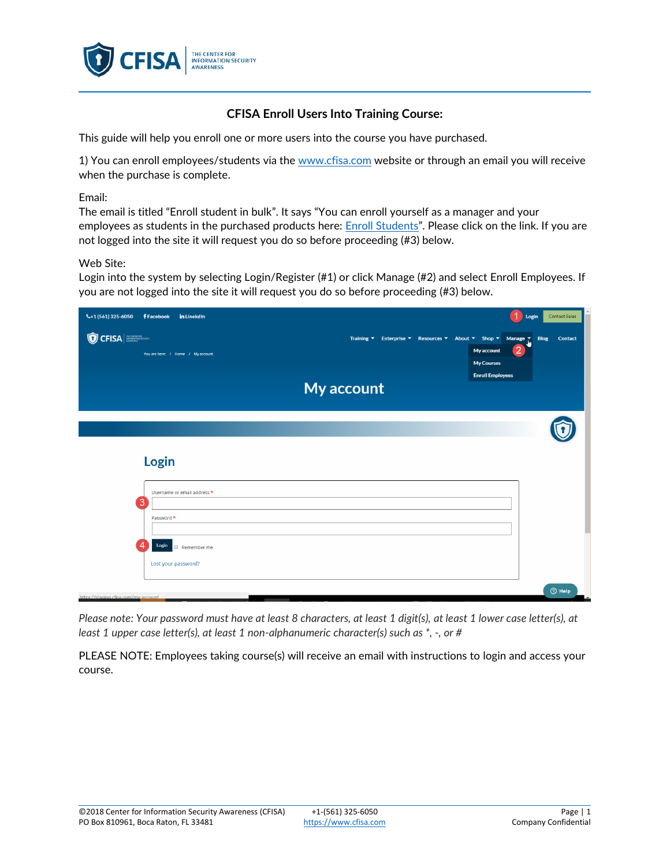

## **CFISA Enroll Users Into Training Course:**

This guide will help you enroll one or more users into the course you have purchased.

1) You can enroll employees/students via th[e www.cfisa.com](http://www.cfisa.com/) website or through an email you will receive when the purchase is complete.

Email:

The email is titled "Enroll student in bulk". It says "You can enroll yourself as a manager and your employees as students in the purchased products here: **Enroll Students**". Please click on the link. If you are not logged into the site it will request you do so before proceeding (#3) below.

## Web Site:

Login into the system by selecting Login/Register (#1) or click Manage (#2) and select Enroll Employees. If you are not logged into the site it will request you do so before proceeding (#3) below.

| $\leftarrow +1(561)325-6050$         | <b>f</b> Facebook<br>in LinekdIn  |            | 1<br>Login                                                                                                                                                                                                                                                                                 | Contact Sales |
|--------------------------------------|-----------------------------------|------------|--------------------------------------------------------------------------------------------------------------------------------------------------------------------------------------------------------------------------------------------------------------------------------------------|---------------|
| <b>O</b> CFISA                       | You are here: / Home / My account |            | Training $\overline{\phantom{a}}$ Enterprise $\overline{\phantom{a}}$ Resources $\overline{\phantom{a}}$ About $\overline{\phantom{a}}$ Shop $\overline{\phantom{a}}$ Manage $\overline{\phantom{a}}$ Blog<br>$\overline{2}$<br>My account<br><b>My Courses</b><br><b>Enroll Employees</b> | Contact       |
|                                      |                                   | My account |                                                                                                                                                                                                                                                                                            |               |
|                                      |                                   |            |                                                                                                                                                                                                                                                                                            |               |
|                                      | Login                             |            |                                                                                                                                                                                                                                                                                            |               |
|                                      | Username or email address *       |            |                                                                                                                                                                                                                                                                                            |               |
|                                      | 3<br>Password *                   |            |                                                                                                                                                                                                                                                                                            |               |
|                                      | Login<br>Remember me              |            |                                                                                                                                                                                                                                                                                            |               |
|                                      | Lost your password?               |            |                                                                                                                                                                                                                                                                                            |               |
| https://staging.cfisa.com/my-account |                                   |            |                                                                                                                                                                                                                                                                                            | $①$ Help      |

*Please note: Your password must have at least 8 characters, at least 1 digit(s), at least 1 lower case letter(s), at least 1 upper case letter(s), at least 1 non-alphanumeric character(s) such as \*, -, or #*

PLEASE NOTE: Employees taking course(s) will receive an email with instructions to login and access your course.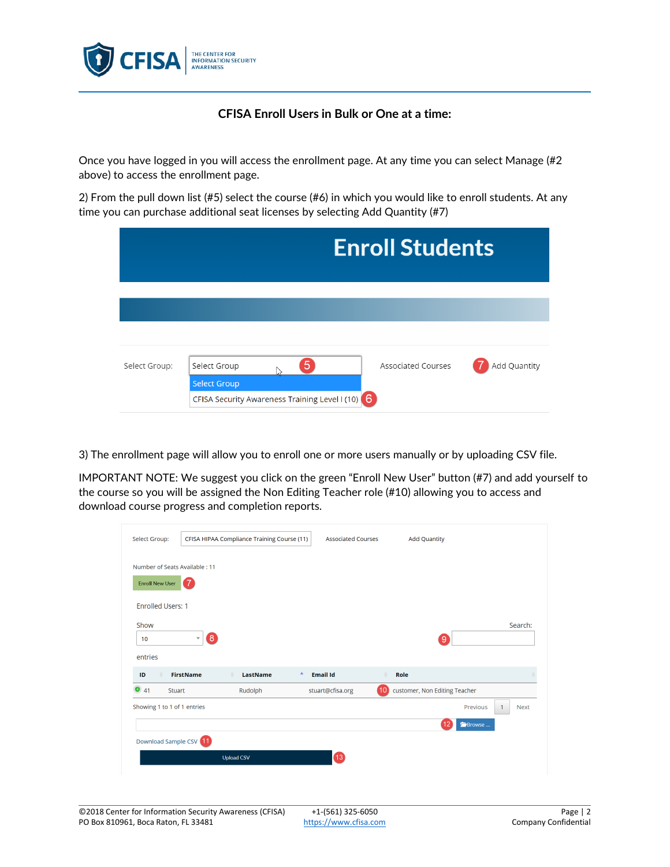

## **CFISA Enroll Users in Bulk or One at a time:**

Once you have logged in you will access the enrollment page. At any time you can select Manage (#2 above) to access the enrollment page.

2) From the pull down list (#5) select the course (#6) in which you would like to enroll students. At any time you can purchase additional seat licenses by selecting Add Quantity (#7)

|               |                     |                                                | <b>Enroll Students</b>    |              |
|---------------|---------------------|------------------------------------------------|---------------------------|--------------|
|               |                     |                                                |                           |              |
|               |                     |                                                |                           |              |
|               |                     |                                                |                           |              |
| Select Group: | Select Group        | 5                                              | <b>Associated Courses</b> | Add Quantity |
|               | <b>Select Group</b> |                                                |                           |              |
|               |                     | CFISA Security Awareness Training Level I (10) | 6                         |              |

3) The enrollment page will allow you to enroll one or more users manually or by uploading CSV file.

IMPORTANT NOTE: We suggest you click on the green "Enroll New User" button (#7) and add yourself to the course so you will be assigned the Non Editing Teacher role (#10) allowing you to access and download course progress and completion reports.

| Select Group:                    |                             | CFISA HIPAA Compliance Training Course (11) | <b>Associated Courses</b> | <b>Add Quantity</b>                   |                                         |
|----------------------------------|-----------------------------|---------------------------------------------|---------------------------|---------------------------------------|-----------------------------------------|
|                                  |                             |                                             |                           |                                       |                                         |
| Number of Seats Available : 11   |                             |                                             |                           |                                       |                                         |
| <b>Enroll New User</b>           | 7                           |                                             |                           |                                       |                                         |
|                                  |                             |                                             |                           |                                       |                                         |
| <b>Enrolled Users: 1</b>         |                             |                                             |                           |                                       |                                         |
| Show                             |                             |                                             |                           |                                       | Search:                                 |
| 10                               | 8<br>$\overline{\mathbf v}$ |                                             |                           |                                       | 9                                       |
| entries                          |                             |                                             |                           |                                       |                                         |
|                                  |                             |                                             |                           |                                       |                                         |
|                                  |                             |                                             |                           | Δ<br>Role                             |                                         |
|                                  | <b>FirstName</b>            | LastName                                    | A<br><b>Email Id</b>      |                                       |                                         |
| ID<br>41<br><b>Stuart</b>        |                             | Rudolph                                     | stuart@cfisa.org          | (10)<br>customer, Non Editing Teacher |                                         |
| ⊕<br>Showing 1 to 1 of 1 entries |                             |                                             |                           |                                       | Previous<br><b>Next</b><br>$\mathbf{1}$ |
|                                  |                             |                                             |                           |                                       | Browse                                  |
|                                  |                             |                                             |                           |                                       |                                         |
| Download Sample CSV 11           |                             | <b>Upload CSV</b>                           | $\boxed{13}$              |                                       |                                         |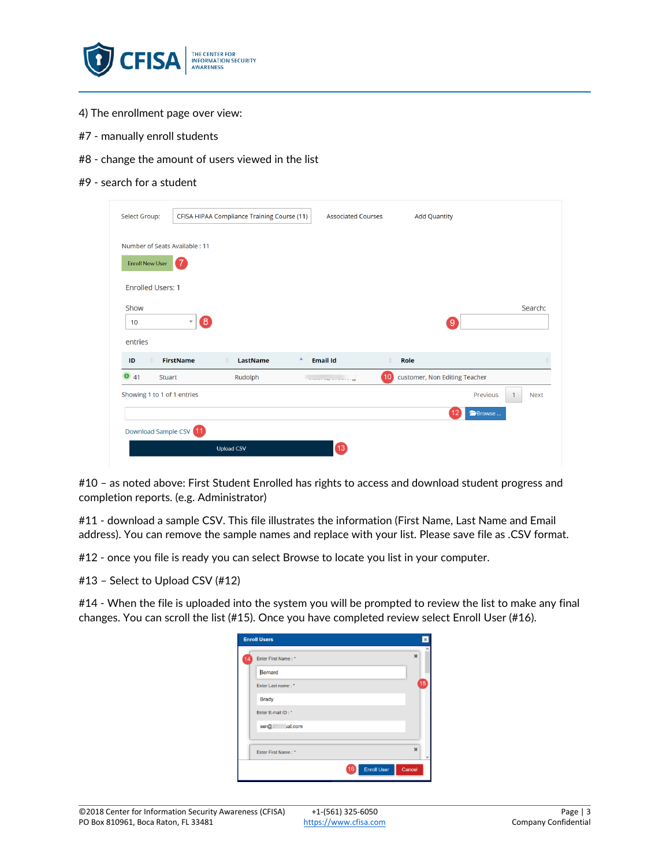

- 4) The enrollment page over view:
- #7 manually enroll students
- #8 change the amount of users viewed in the list
- #9 search for a student

| Select Group:                               |                                               | CFISA HIPAA Compliance Training Course (11) | <b>Associated Courses</b>        | <b>Add Quantity</b> |                               |                             |
|---------------------------------------------|-----------------------------------------------|---------------------------------------------|----------------------------------|---------------------|-------------------------------|-----------------------------|
| Number of Seats Available : 11              |                                               |                                             |                                  |                     |                               |                             |
| <b>Enroll New User</b>                      | ◆                                             |                                             |                                  |                     |                               |                             |
| <b>Enrolled Users: 1</b>                    |                                               |                                             |                                  |                     |                               |                             |
| Show                                        |                                               |                                             |                                  |                     |                               | Search:                     |
| 10                                          | $\left[ 8 \right]$<br>$\overline{\mathbf{v}}$ |                                             |                                  |                     | ်9                            |                             |
|                                             |                                               |                                             |                                  |                     |                               |                             |
|                                             |                                               |                                             | Α                                |                     |                               |                             |
| ID<br>41                                    | <b>FirstName</b><br><b>Stuart</b>             | LastName<br>Rudolph                         | <b>Email Id</b><br>$- - - - - -$ | Role<br>10          | customer, Non Editing Teacher |                             |
| entries<br>⊕<br>Showing 1 to 1 of 1 entries |                                               |                                             |                                  |                     | Previous                      | <b>Next</b><br>$\mathbf{1}$ |
|                                             |                                               |                                             |                                  |                     | Browse                        |                             |
| Download Sample CSV 11                      |                                               |                                             |                                  |                     |                               |                             |

#10 – as noted above: First Student Enrolled has rights to access and download student progress and completion reports. (e.g. Administrator)

#11 - download a sample CSV. This file illustrates the information (First Name, Last Name and Email address). You can remove the sample names and replace with your list. Please save file as .CSV format.

#12 - once you file is ready you can select Browse to locate you list in your computer.

#13 – Select to Upload CSV (#12)

#14 - When the file is uploaded into the system you will be prompted to review the list to make any final changes. You can scroll the list (#15). Once you have completed review select Enroll User (#16).

|    | <b>Enroll Users</b> | ×           |  |
|----|---------------------|-------------|--|
| 14 | Enter First Name: * | $\mathbf x$ |  |
|    | Bernard             |             |  |
|    | Enter Last name: *  | 15          |  |
|    | <b>Brady</b>        |             |  |
|    | Enter E-mail ID: *  |             |  |
|    | jal.com<br>$ser@$ : |             |  |
|    |                     |             |  |
|    | Enter First Name: * | $\mathbf x$ |  |
|    | <b>Enroll User</b>  | Cancel      |  |